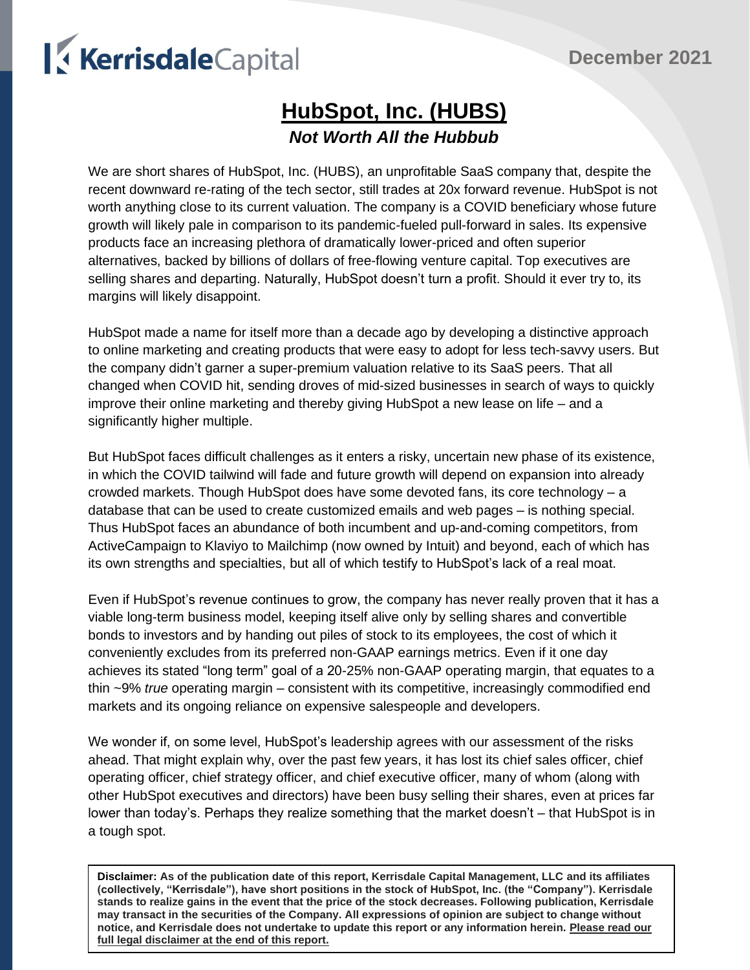# KerrisdaleCapital

## **HubSpot, Inc. (HUBS)** *Not Worth All the Hubbub*

We are short shares of HubSpot, Inc. (HUBS), an unprofitable SaaS company that, despite the recent downward re-rating of the tech sector, still trades at 20x forward revenue. HubSpot is not worth anything close to its current valuation. The company is a COVID beneficiary whose future growth will likely pale in comparison to its pandemic-fueled pull-forward in sales. Its expensive products face an increasing plethora of dramatically lower-priced and often superior alternatives, backed by billions of dollars of free-flowing venture capital. Top executives are selling shares and departing. Naturally, HubSpot doesn't turn a profit. Should it ever try to, its margins will likely disappoint.

HubSpot made a name for itself more than a decade ago by developing a distinctive approach to online marketing and creating products that were easy to adopt for less tech-savvy users. But the company didn't garner a super-premium valuation relative to its SaaS peers. That all changed when COVID hit, sending droves of mid-sized businesses in search of ways to quickly improve their online marketing and thereby giving HubSpot a new lease on life – and a significantly higher multiple.

But HubSpot faces difficult challenges as it enters a risky, uncertain new phase of its existence, in which the COVID tailwind will fade and future growth will depend on expansion into already crowded markets. Though HubSpot does have some devoted fans, its core technology – a database that can be used to create customized emails and web pages – is nothing special. Thus HubSpot faces an abundance of both incumbent and up-and-coming competitors, from ActiveCampaign to Klaviyo to Mailchimp (now owned by Intuit) and beyond, each of which has its own strengths and specialties, but all of which testify to HubSpot's lack of a real moat.

Even if HubSpot's revenue continues to grow, the company has never really proven that it has a viable long-term business model, keeping itself alive only by selling shares and convertible bonds to investors and by handing out piles of stock to its employees, the cost of which it conveniently excludes from its preferred non-GAAP earnings metrics. Even if it one day achieves its stated "long term" goal of a 20-25% non-GAAP operating margin, that equates to a thin ~9% *true* operating margin – consistent with its competitive, increasingly commodified end markets and its ongoing reliance on expensive salespeople and developers.

We wonder if, on some level, HubSpot's leadership agrees with our assessment of the risks ahead. That might explain why, over the past few years, it has lost its chief sales officer, chief operating officer, chief strategy officer, and chief executive officer, many of whom (along with other HubSpot executives and directors) have been busy selling their shares, even at prices far lower than today's. Perhaps they realize something that the market doesn't – that HubSpot is in a tough spot.

**Disclaimer: As of the publication date of this report, Kerrisdale Capital Management, LLC and its affiliates (collectively, "Kerrisdale"), have short positions in the stock of HubSpot, Inc. (the "Company"). Kerrisdale stands to realize gains in the event that the price of the stock decreases. Following publication, Kerrisdale may transact in the securities of the Company. All expressions of opinion are subject to change without notice, and Kerrisdale does not undertake to update this report or any information herein. Please read our full legal disclaimer at the end of this report.**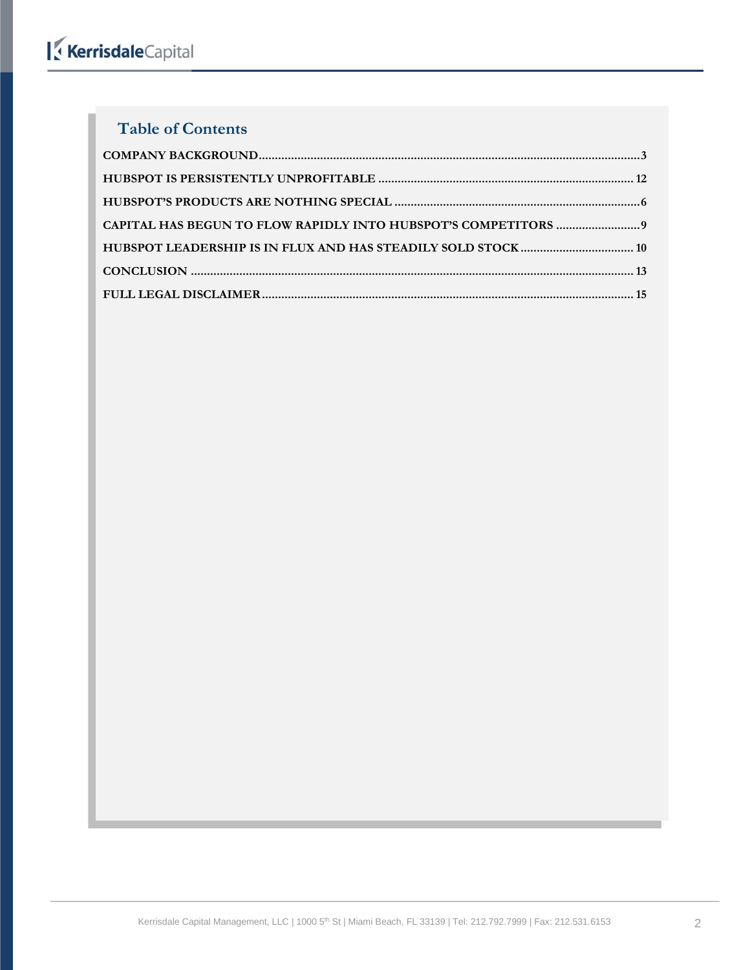### **Table of Contents**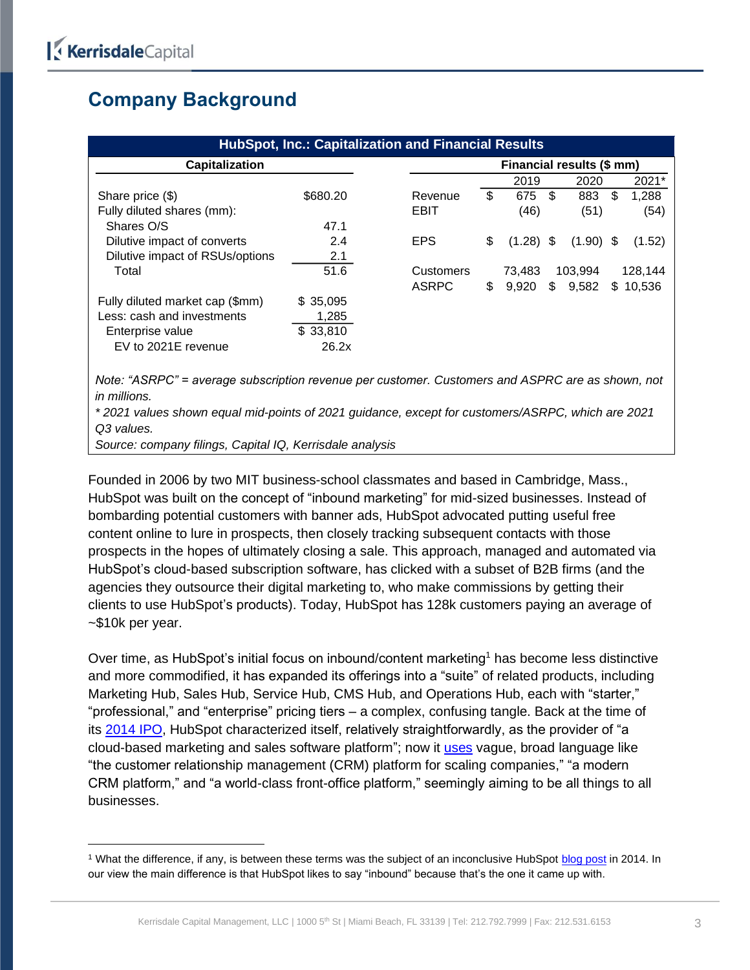## <span id="page-2-0"></span>**Company Background**

| <b>HubSpot, Inc.: Capitalization and Financial Results</b>                                       |          |                           |    |             |     |             |     |          |
|--------------------------------------------------------------------------------------------------|----------|---------------------------|----|-------------|-----|-------------|-----|----------|
| Capitalization                                                                                   |          | Financial results (\$ mm) |    |             |     |             |     |          |
|                                                                                                  |          |                           |    | 2019        |     | 2020        |     | 2021*    |
| Share price (\$)                                                                                 | \$680.20 | Revenue                   | \$ | 675         | -\$ | 883         | \$. | 1.288    |
| Fully diluted shares (mm):                                                                       |          | EBIT                      |    | (46)        |     | (51)        |     | (54)     |
| Shares O/S                                                                                       | 47.1     |                           |    |             |     |             |     |          |
| Dilutive impact of converts                                                                      | 2.4      | EPS.                      | \$ | $(1.28)$ \$ |     | $(1.90)$ \$ |     | (1.52)   |
| Dilutive impact of RSUs/options                                                                  | 2.1      |                           |    |             |     |             |     |          |
| Total                                                                                            | 51.6     | Customers                 |    | 73,483      |     | 103,994     |     | 128,144  |
|                                                                                                  |          | <b>ASRPC</b>              | \$ | 9,920       |     | \$9,582     |     | \$10,536 |
| Fully diluted market cap (\$mm)                                                                  | \$35,095 |                           |    |             |     |             |     |          |
| Less: cash and investments                                                                       | 1,285    |                           |    |             |     |             |     |          |
| Enterprise value                                                                                 | \$33,810 |                           |    |             |     |             |     |          |
| EV to 2021E revenue                                                                              | 26.2x    |                           |    |             |     |             |     |          |
|                                                                                                  |          |                           |    |             |     |             |     |          |
| Note: "ASRPC" = average subscription revenue per customer. Customers and ASPRC are as shown, not |          |                           |    |             |     |             |     |          |
| in millions.                                                                                     |          |                           |    |             |     |             |     |          |

*\* 2021 values shown equal mid-points of 2021 guidance, except for customers/ASRPC, which are 2021 Q3 values.*

*Source: company filings, Capital IQ, Kerrisdale analysis*

Founded in 2006 by two MIT business-school classmates and based in Cambridge, Mass., HubSpot was built on the concept of "inbound marketing" for mid-sized businesses. Instead of bombarding potential customers with banner ads, HubSpot advocated putting useful free content online to lure in prospects, then closely tracking subsequent contacts with those prospects in the hopes of ultimately closing a sale. This approach, managed and automated via HubSpot's cloud-based subscription software, has clicked with a subset of B2B firms (and the agencies they outsource their digital marketing to, who make commissions by getting their clients to use HubSpot's products). Today, HubSpot has 128k customers paying an average of ~\$10k per year.

Over time, as HubSpot's initial focus on inbound/content marketing<sup>1</sup> has become less distinctive and more commodified, it has expanded its offerings into a "suite" of related products, including Marketing Hub, Sales Hub, Service Hub, CMS Hub, and Operations Hub, each with "starter," "professional," and "enterprise" pricing tiers – a complex, confusing tangle. Back at the time of its [2014 IPO,](https://www.sec.gov/Archives/edgar/data/0001404655/000119312514367174/d697256d424b4.htm) HubSpot characterized itself, relatively straightforwardly, as the provider of "a cloud-based marketing and sales software platform"; now it [uses](https://ir.hubspot.com/news/hubspot-reports-q3-2021-results) vague, broad language like "the customer relationship management (CRM) platform for scaling companies," "a modern CRM platform," and "a world-class front-office platform," seemingly aiming to be all things to all businesses.

<sup>&</sup>lt;sup>1</sup> What the difference, if any, is between these terms was the subject of an inconclusive HubSpot [blog post](https://blog.hubspot.com/marketing/difference-between-content-and-inbound-marketing) in 2014. In our view the main difference is that HubSpot likes to say "inbound" because that's the one it came up with.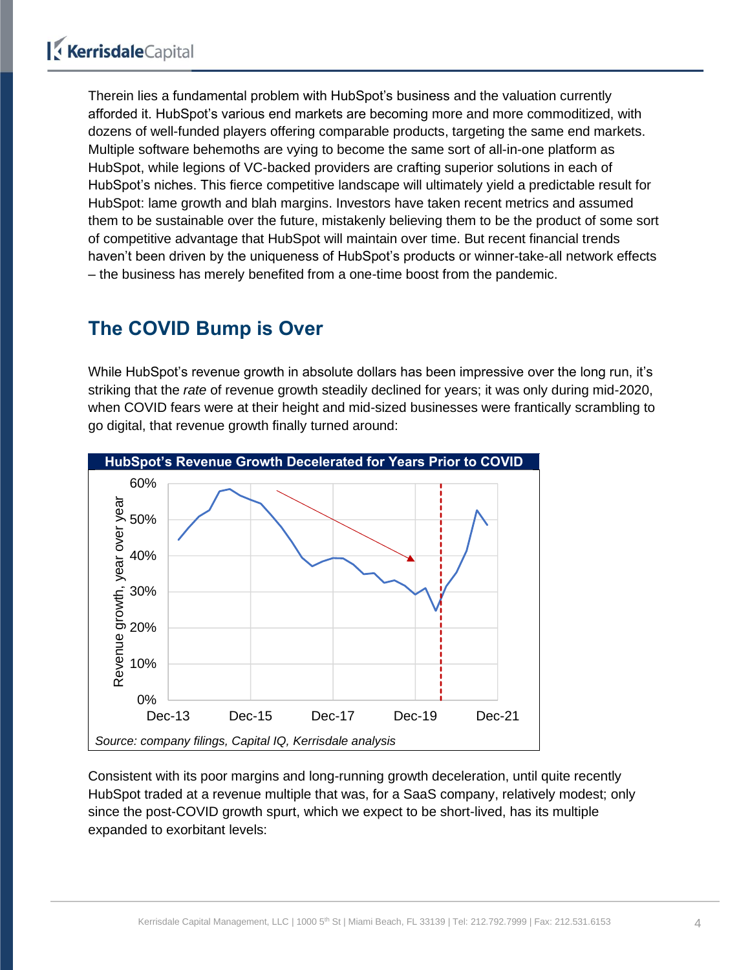Therein lies a fundamental problem with HubSpot's business and the valuation currently afforded it. HubSpot's various end markets are becoming more and more commoditized, with dozens of well-funded players offering comparable products, targeting the same end markets. Multiple software behemoths are vying to become the same sort of all-in-one platform as HubSpot, while legions of VC-backed providers are crafting superior solutions in each of HubSpot's niches. This fierce competitive landscape will ultimately yield a predictable result for HubSpot: lame growth and blah margins. Investors have taken recent metrics and assumed them to be sustainable over the future, mistakenly believing them to be the product of some sort of competitive advantage that HubSpot will maintain over time. But recent financial trends haven't been driven by the uniqueness of HubSpot's products or winner-take-all network effects – the business has merely benefited from a one-time boost from the pandemic.

## **The COVID Bump is Over**

While HubSpot's revenue growth in absolute dollars has been impressive over the long run, it's striking that the *rate* of revenue growth steadily declined for years; it was only during mid-2020, when COVID fears were at their height and mid-sized businesses were frantically scrambling to go digital, that revenue growth finally turned around:



Consistent with its poor margins and long-running growth deceleration, until quite recently HubSpot traded at a revenue multiple that was, for a SaaS company, relatively modest; only since the post-COVID growth spurt, which we expect to be short-lived, has its multiple expanded to exorbitant levels: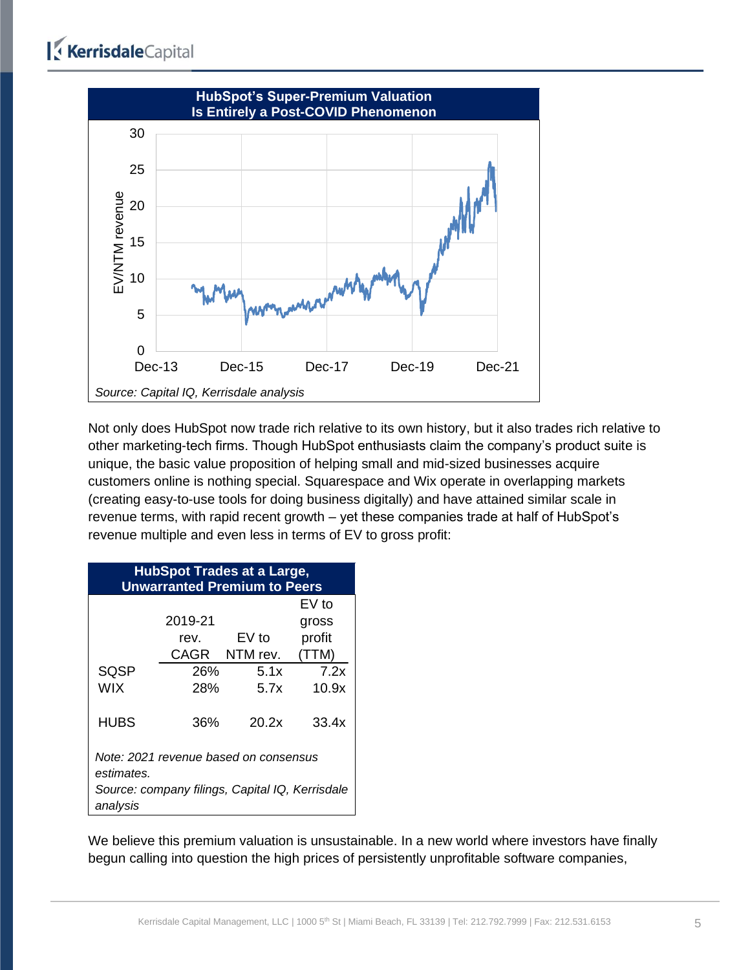

Not only does HubSpot now trade rich relative to its own history, but it also trades rich relative to other marketing-tech firms. Though HubSpot enthusiasts claim the company's product suite is unique, the basic value proposition of helping small and mid-sized businesses acquire customers online is nothing special. Squarespace and Wix operate in overlapping markets (creating easy-to-use tools for doing business digitally) and have attained similar scale in revenue terms, with rapid recent growth – yet these companies trade at half of HubSpot's revenue multiple and even less in terms of EV to gross profit:

| <b>HubSpot Trades at a Large,</b><br><b>Unwarranted Premium to Peers</b> |         |               |         |  |  |  |  |  |
|--------------------------------------------------------------------------|---------|---------------|---------|--|--|--|--|--|
|                                                                          |         |               | $EV$ to |  |  |  |  |  |
|                                                                          | 2019-21 |               | gross   |  |  |  |  |  |
|                                                                          | rev.    | EV to         | profit  |  |  |  |  |  |
|                                                                          |         | CAGR NTM rev. | (TTM)   |  |  |  |  |  |
| <b>SQSP</b>                                                              | 26%     | 5.1x          | 7.2x    |  |  |  |  |  |
| <b>WIX</b>                                                               | 28%     | 5.7x          | 10.9x   |  |  |  |  |  |
| <b>HUBS</b>                                                              | 36%     | 20.2x         | 33.4x   |  |  |  |  |  |
| Note: 2021 revenue based on consensus<br>estimates.                      |         |               |         |  |  |  |  |  |
| Source: company filings, Capital IQ, Kerrisdale<br>analysis              |         |               |         |  |  |  |  |  |

We believe this premium valuation is unsustainable. In a new world where investors have finally begun calling into question the high prices of persistently unprofitable software companies,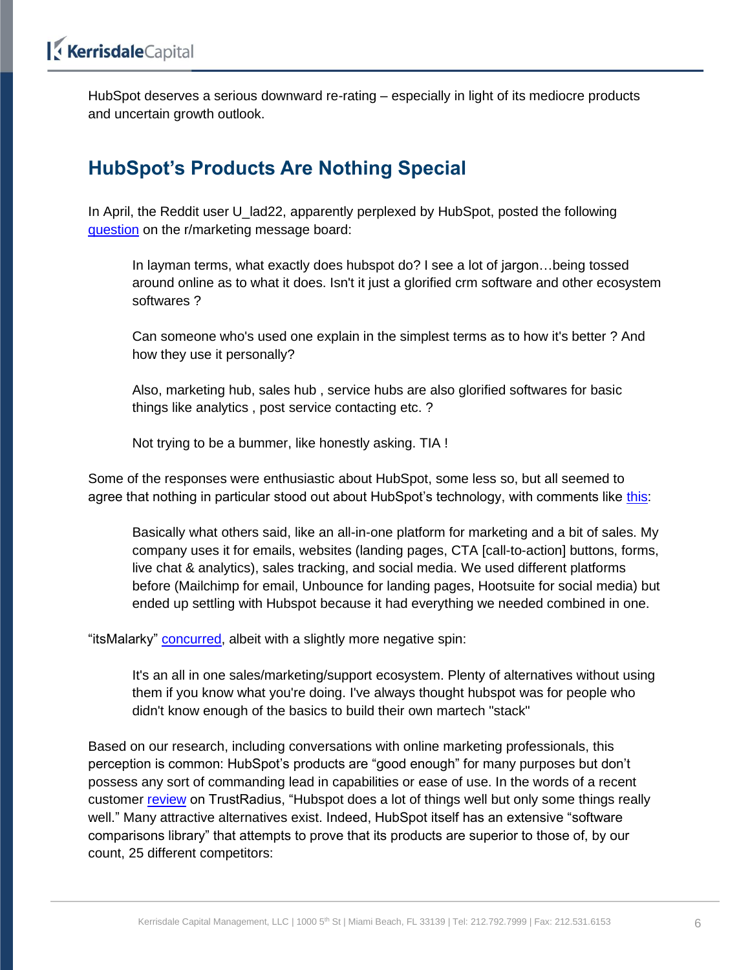HubSpot deserves a serious downward re-rating – especially in light of its mediocre products and uncertain growth outlook.

## <span id="page-5-0"></span>**HubSpot's Products Are Nothing Special**

In April, the Reddit user U\_lad22, apparently perplexed by HubSpot, posted the following [question](https://www.reddit.com/r/marketing/comments/mt5zgo/hubspot_users/) on the r/marketing message board:

In layman terms, what exactly does hubspot do? I see a lot of jargon…being tossed around online as to what it does. Isn't it just a glorified crm software and other ecosystem softwares ?

Can someone who's used one explain in the simplest terms as to how it's better ? And how they use it personally?

Also, marketing hub, sales hub , service hubs are also glorified softwares for basic things like analytics , post service contacting etc. ?

Not trying to be a bummer, like honestly asking. TIA !

Some of the responses were enthusiastic about HubSpot, some less so, but all seemed to agree that nothing in particular stood out about HubSpot's technology, with comments like [this:](https://www.reddit.com/r/marketing/comments/mt5zgo/comment/guy1plf/?utm_source=reddit&utm_medium=web2x&context=3)

Basically what others said, like an all-in-one platform for marketing and a bit of sales. My company uses it for emails, websites (landing pages, CTA [call-to-action] buttons, forms, live chat & analytics), sales tracking, and social media. We used different platforms before (Mailchimp for email, Unbounce for landing pages, Hootsuite for social media) but ended up settling with Hubspot because it had everything we needed combined in one.

"itsMalarky" [concurred,](https://www.reddit.com/r/marketing/comments/mt5zgo/comment/guyttwi/?utm_source=reddit&utm_medium=web2x&context=3) albeit with a slightly more negative spin:

It's an all in one sales/marketing/support ecosystem. Plenty of alternatives without using them if you know what you're doing. I've always thought hubspot was for people who didn't know enough of the basics to build their own martech "stack"

Based on our research, including conversations with online marketing professionals, this perception is common: HubSpot's products are "good enough" for many purposes but don't possess any sort of commanding lead in capabilities or ease of use. In the words of a recent customer [review](https://www.trustradius.com/reviews/hubspot-marketing-hub-2021-11-02-10-46-45) on TrustRadius, "Hubspot does a lot of things well but only some things really well." Many attractive alternatives exist. Indeed, HubSpot itself has an extensive "software comparisons library" that attempts to prove that its products are superior to those of, by our count, 25 different competitors: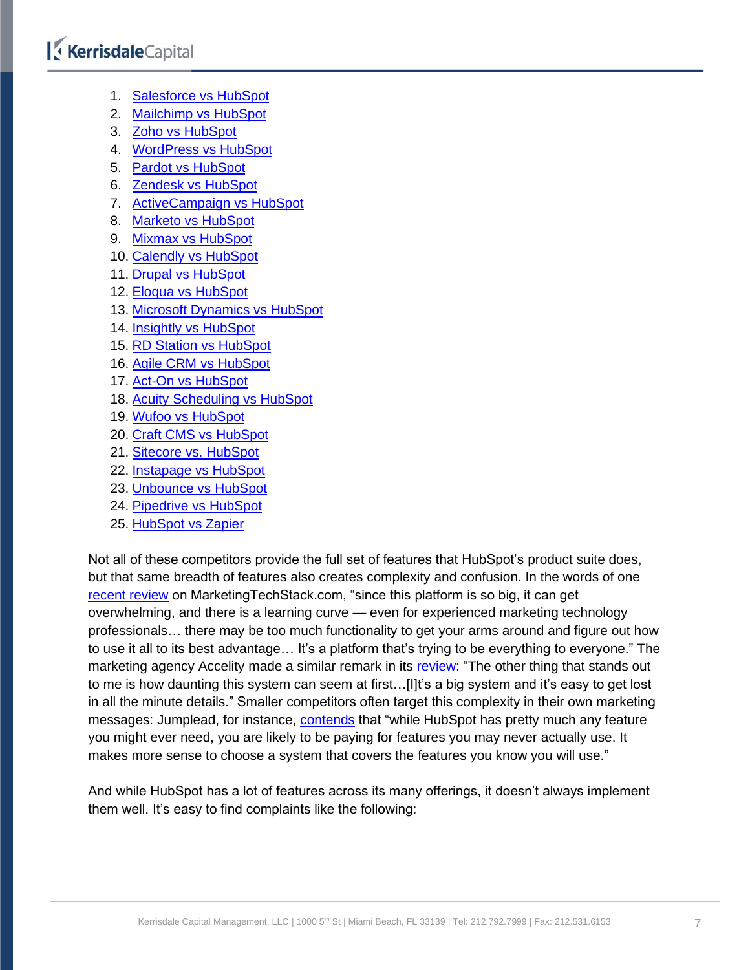## KerrisdaleCapital

- 1. [Salesforce vs HubSpot](https://www.hubspot.com/comparisons/salesforce-vs-hubspot?hubs_content=www.hubspot.com/comparisons&hubs_content-cta=comparisons-card__link)
- 2. [Mailchimp vs HubSpot](https://www.hubspot.com/comparisons/mailchimp-vs-hubspot?hubs_content=www.hubspot.com/comparisons&hubs_content-cta=comparisons-card__link)
- 3. [Zoho vs HubSpot](https://www.hubspot.com/comparisons/zoho-vs-hubspot?hubs_content=www.hubspot.com/comparisons&hubs_content-cta=comparisons-slider__link)
- 4. [WordPress vs HubSpot](https://www.hubspot.com/comparisons/wordpress-vs-hubspot?hubs_content=www.hubspot.com%2Fcomparisons&hubs_content-cta=comparisons-slider__link)
- 5. [Pardot vs HubSpot](https://www.hubspot.com/comparisons/pardot-vs-hubspot?hubs_content=www.hubspot.com/comparisons&hubs_content-cta=comparisons-slider__link)
- 6. [Zendesk vs HubSpot](https://www.hubspot.com/comparisons/zendesk-vs-hubspot?hubs_content=www.hubspot.com/comparisons&hubs_content-cta=comparisons-slider__link)
- 7. [ActiveCampaign vs HubSpot](https://www.hubspot.com/comparisons/active-campaign-vs-hubspot)
- 8. [Marketo vs HubSpot](https://www.hubspot.com/comparisons/marketo-vs-hubspot)
- 9. [Mixmax vs HubSpot](https://www.hubspot.com/comparisons/mixmax-vs-hubspot)
- 10. [Calendly vs HubSpot](https://www.hubspot.com/comparisons/calendly-vs-hubspot)
- 11. [Drupal vs HubSpot](https://www.hubspot.com/comparisons/drupal-vs-hubspot)
- 12. [Eloqua vs HubSpot](https://www.hubspot.com/comparisons/eloqua-vs-hubspot)
- 13. [Microsoft Dynamics vs HubSpot](https://www.hubspot.com/comparisons/microsoft-dynamics-vs-hubspot)
- 14. [Insightly vs HubSpot](https://www.hubspot.com/comparisons/insightly-vs-hubspot)
- 15. [RD Station vs HubSpot](https://www.hubspot.com/comparisons/rd-station-vs-hubspot)
- 16. [Agile CRM vs HubSpot](https://www.hubspot.com/comparisons/agile-crm-vs-hubspot)
- 17. [Act-On vs HubSpot](https://www.hubspot.com/comparisons/act-on-vs-hubspot)
- 18. [Acuity Scheduling vs HubSpot](https://www.hubspot.com/comparisons/acuity-scheduling-vs-hubspot)
- 19. [Wufoo vs HubSpot](https://www.hubspot.com/comparisons/wufoo-vs-hubspot)
- 20. [Craft CMS vs HubSpot](https://www.hubspot.com/comparisons/craft-cms-vs-hubspot)
- 21. [Sitecore vs. HubSpot](https://www.hubspot.com/comparisons/sitecore-vs-hubspot)
- 22. [Instapage vs HubSpot](https://www.hubspot.com/comparisons/instapage-vs-hubspot)
- 23. [Unbounce vs HubSpot](https://www.hubspot.com/comparisons/unbounce-vs-hubspot)
- 24. [Pipedrive vs HubSpot](https://www.hubspot.com/comparisons/pipedrive-vs-hubspot)
- 25. [HubSpot vs Zapier](https://www.hubspot.com/comparisons/hubspot-vs-zapier)

Not all of these competitors provide the full set of features that HubSpot's product suite does, but that same breadth of features also creates complexity and confusion. In the words of one [recent review](https://marketingtechstack.com/2021/03/02/hubspot-review-when-is-it-right/) on MarketingTechStack.com, "since this platform is so big, it can get overwhelming, and there is a learning curve — even for experienced marketing technology professionals… there may be too much functionality to get your arms around and figure out how to use it all to its best advantage… It's a platform that's trying to be everything to everyone." The marketing agency Accelity made a similar remark in its [review:](https://go.accelitymarketing.com/blog/the-good-the-bad-the-ugly-an-in-depth-look-at-hubspot-sales-professional) "The other thing that stands out to me is how daunting this system can seem at first...[I]t's a big system and it's easy to get lost in all the minute details." Smaller competitors often target this complexity in their own marketing messages: Jumplead, for instance, [contends](https://jumplead.com/hubspot-alternative) that "while HubSpot has pretty much any feature you might ever need, you are likely to be paying for features you may never actually use. It makes more sense to choose a system that covers the features you know you will use."

And while HubSpot has a lot of features across its many offerings, it doesn't always implement them well. It's easy to find complaints like the following: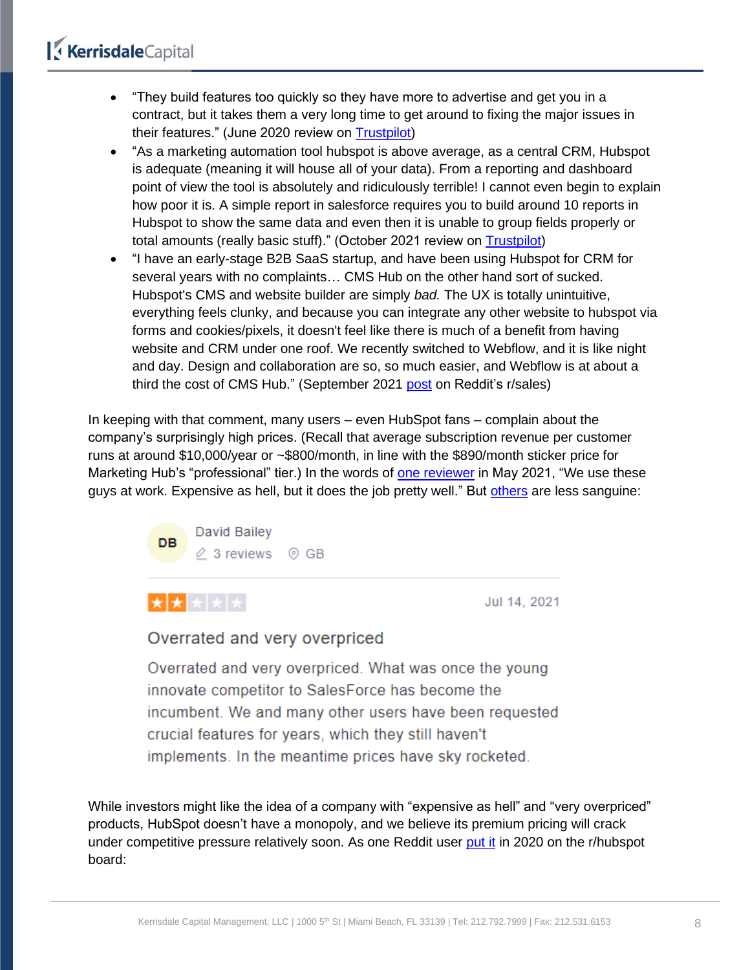- "They build features too quickly so they have more to advertise and get you in a contract, but it takes them a very long time to get around to fixing the major issues in their features." (June 2020 review on [Trustpilot\)](https://www.trustpilot.com/users/5eb5761dc66da3199e806f6e)
- "As a marketing automation tool hubspot is above average, as a central CRM, Hubspot is adequate (meaning it will house all of your data). From a reporting and dashboard point of view the tool is absolutely and ridiculously terrible! I cannot even begin to explain how poor it is. A simple report in salesforce requires you to build around 10 reports in Hubspot to show the same data and even then it is unable to group fields properly or total amounts (really basic stuff)." (October 2021 review on **Trustpilot**)
- "I have an early-stage B2B SaaS startup, and have been using Hubspot for CRM for several years with no complaints… CMS Hub on the other hand sort of sucked. Hubspot's CMS and website builder are simply *bad.* The UX is totally unintuitive, everything feels clunky, and because you can integrate any other website to hubspot via forms and cookies/pixels, it doesn't feel like there is much of a benefit from having website and CRM under one roof. We recently switched to Webflow, and it is like night and day. Design and collaboration are so, so much easier, and Webflow is at about a third the cost of CMS Hub." (September 2021 [post](https://www.reddit.com/r/sales/comments/pyqpjq/hubspot_a_psa_contracts_and_review/) on Reddit's r/sales)

In keeping with that comment, many users – even HubSpot fans – complain about the company's surprisingly high prices. (Recall that average subscription revenue per customer runs at around \$10,000/year or ~\$800/month, in line with the \$890/month sticker price for Marketing Hub's "professional" tier.) In the words of [one reviewer](https://www.trustpilot.com/reviews/60ad4adef9f4870b700e3d57) in May 2021, "We use these guys at work. Expensive as hell, but it does the job pretty well." But [others](https://www.trustpilot.com/reviews/60eece6af9f48702a8e5010e) are less sanguine:





Jul 14, 2021

#### Overrated and very overpriced

Overrated and very overpriced. What was once the young innovate competitor to SalesForce has become the incumbent. We and many other users have been requested crucial features for years, which they still haven't implements. In the meantime prices have sky rocketed.

While investors might like the idea of a company with "expensive as hell" and "very overpriced" products, HubSpot doesn't have a monopoly, and we believe its premium pricing will crack under competitive pressure relatively soon. As one Reddit user [put it](https://www.reddit.com/r/hubspot/comments/fauc27/comment/fjhvxgu/?utm_source=reddit&utm_medium=web2x&context=3) in 2020 on the r/hubspot board: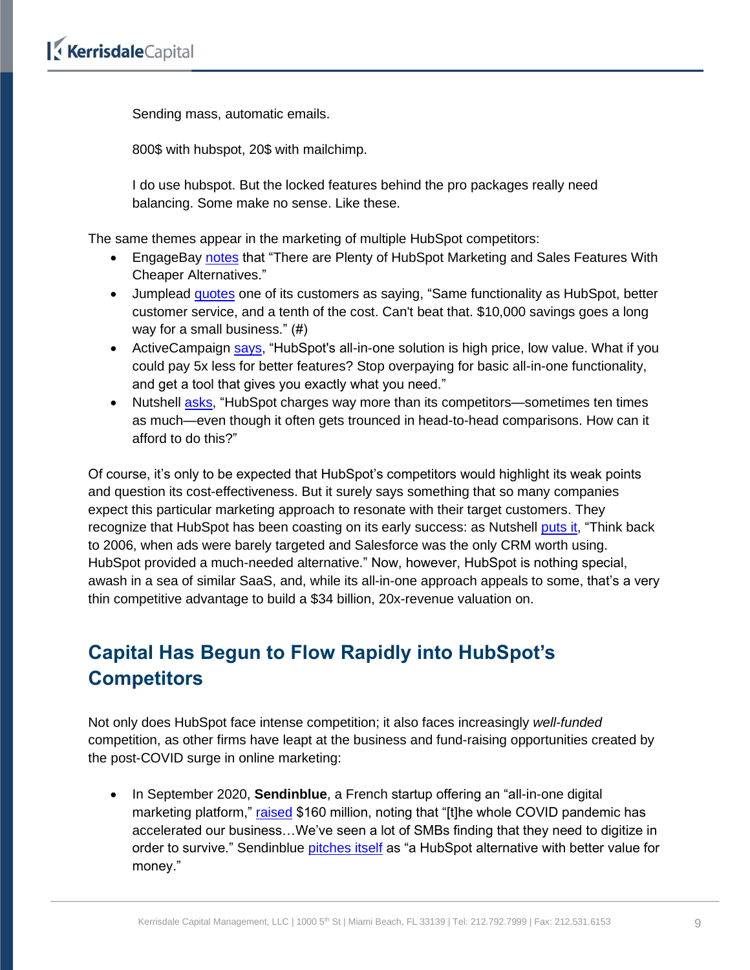Sending mass, automatic emails.

800\$ with hubspot, 20\$ with mailchimp.

I do use hubspot. But the locked features behind the pro packages really need balancing. Some make no sense. Like these.

The same themes appear in the marketing of multiple HubSpot competitors:

- EngageBay [notes](https://www.engagebay.com/blog/hubspot-pros-and-cons/) that "There are Plenty of HubSpot Marketing and Sales Features With Cheaper Alternatives."
- Jumplead [quotes](https://jumplead.com/hubspot-alternative) one of its customers as saying, "Same functionality as HubSpot, better customer service, and a tenth of the cost. Can't beat that. \$10,000 savings goes a long way for a small business." (#)
- ActiveCampaign [says,](https://www.activecampaign.com/compare/hubspot) "HubSpot's all-in-one solution is high price, low value. What if you could pay 5x less for better features? Stop overpaying for basic all-in-one functionality, and get a tool that gives you exactly what you need."
- Nutshell [asks,](https://www.nutshell.com/blog/why-is-hubspot-so-expensive) "HubSpot charges way more than its competitors—sometimes ten times as much—even though it often gets trounced in head-to-head comparisons. How can it afford to do this?"

Of course, it's only to be expected that HubSpot's competitors would highlight its weak points and question its cost-effectiveness. But it surely says something that so many companies expect this particular marketing approach to resonate with their target customers. They recognize that HubSpot has been coasting on its early success: as Nutshell [puts it,](https://www.nutshell.com/blog/why-is-hubspot-so-expensive) "Think back to 2006, when ads were barely targeted and Salesforce was the only CRM worth using. HubSpot provided a much-needed alternative." Now, however, HubSpot is nothing special, awash in a sea of similar SaaS, and, while its all-in-one approach appeals to some, that's a very thin competitive advantage to build a \$34 billion, 20x-revenue valuation on.

## <span id="page-8-0"></span>**Capital Has Begun to Flow Rapidly into HubSpot's Competitors**

Not only does HubSpot face intense competition; it also faces increasingly *well-funded* competition, as other firms have leapt at the business and fund-raising opportunities created by the post-COVID surge in online marketing:

• In September 2020, **Sendinblue**, a French startup offering an "all-in-one digital marketing platform," [raised](https://techcrunch.com/2020/09/30/frances-sendinblue-an-all-in-one-digital-marketing-platform-raises-160m/) \$160 million, noting that "[t]he whole COVID pandemic has accelerated our business…We've seen a lot of SMBs finding that they need to digitize in order to survive." Sendinblue *pitches itself* as "a HubSpot alternative with better value for money."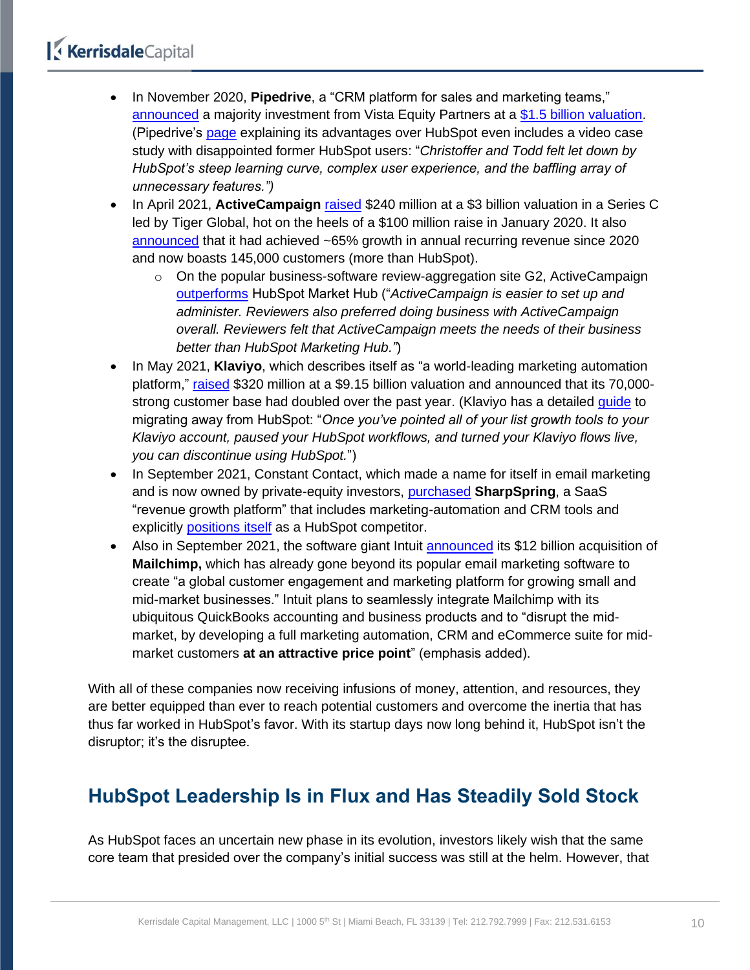- In November 2020, **Pipedrive**, a "CRM platform for sales and marketing teams," [announced](https://www.prnewswire.com/news-releases/sales-crm-pipedrive-announces-majority-investment-from-vista-equity-partners-301171963.html) a majority investment from Vista Equity Partners at a [\\$1.5 billion valuation.](https://tech.eu/brief/pipedrive-unicorn/) (Pipedrive's [page](https://www.pipedrive.com/en/crm-comparison/hubspot-alternative) explaining its advantages over HubSpot even includes a video case study with disappointed former HubSpot users: "*Christoffer and Todd felt let down by HubSpot's steep learning curve, complex user experience, and the baffling array of unnecessary features.")*
- In April 2021, **ActiveCampaign** [raised](https://techcrunch.com/2021/04/21/activecampaign-raises-240m-at-a-3b-valuation-as-marketing-and-sales-automation-come-into-focus-for-smbs/) \$240 million at a \$3 billion valuation in a Series C led by Tiger Global, hot on the heels of a \$100 million raise in January 2020. It also [announced](https://www.activecampaign.com/about/newsroom/press-releases/activecampaign-raises-usd240-million) that it had achieved ~65% growth in annual recurring revenue since 2020 and now boasts 145,000 customers (more than HubSpot).
	- $\circ$  On the popular business-software review-aggregation site G2, ActiveCampaign [outperforms](https://www.g2.com/compare/activecampaign-vs-hubspot-marketing-hub) HubSpot Market Hub ("*ActiveCampaign is easier to set up and administer. Reviewers also preferred doing business with ActiveCampaign overall. Reviewers felt that ActiveCampaign meets the needs of their business better than HubSpot Marketing Hub."*)
- In May 2021, **Klaviyo**, which describes itself as "a world-leading marketing automation platform," [raised](https://www.prnewswire.com/news-releases/klaviyo-raises-320-million-in-series-d-funding-following-surge-in-demand-for-data-and-marketing-automation-platform-301293305.html) \$320 million at a \$9.15 billion valuation and announced that its 70,000 strong customer base had doubled over the past year. (Klaviyo has a detailed [guide](https://help.klaviyo.com/hc/en-us/articles/360039708512-How-to-Migrate-from-HubSpot#discontinue-hubspot-use13) to migrating away from HubSpot: "*Once you've pointed all of your list growth tools to your Klaviyo account, paused your HubSpot workflows, and turned your Klaviyo flows live, you can discontinue using HubSpot.*")
- In September 2021, Constant Contact, which made a name for itself in email marketing and is now owned by private-equity investors, [purchased](https://www.prnewswire.com/news-releases/constant-contact-closes-acquisition-of-sharpspring-301367629.html) **SharpSpring**, a SaaS "revenue growth platform" that includes marketing-automation and CRM tools and explicitly [positions itself](https://sharpspring.com/hubspot-pricing-and-reviews/) as a HubSpot competitor.
- Also in September 2021, the software giant Intuit [announced](https://investors.intuit.com/events-and-presentations/event-details/2021/Placeholder-name/default.aspx) its \$12 billion acquisition of **Mailchimp,** which has already gone beyond its popular email marketing software to create "a global customer engagement and marketing platform for growing small and mid-market businesses." Intuit plans to seamlessly integrate Mailchimp with its ubiquitous QuickBooks accounting and business products and to "disrupt the midmarket, by developing a full marketing automation, CRM and eCommerce suite for midmarket customers **at an attractive price point**" (emphasis added).

With all of these companies now receiving infusions of money, attention, and resources, they are better equipped than ever to reach potential customers and overcome the inertia that has thus far worked in HubSpot's favor. With its startup days now long behind it, HubSpot isn't the disruptor; it's the disruptee.

## <span id="page-9-0"></span>**HubSpot Leadership Is in Flux and Has Steadily Sold Stock**

As HubSpot faces an uncertain new phase in its evolution, investors likely wish that the same core team that presided over the company's initial success was still at the helm. However, that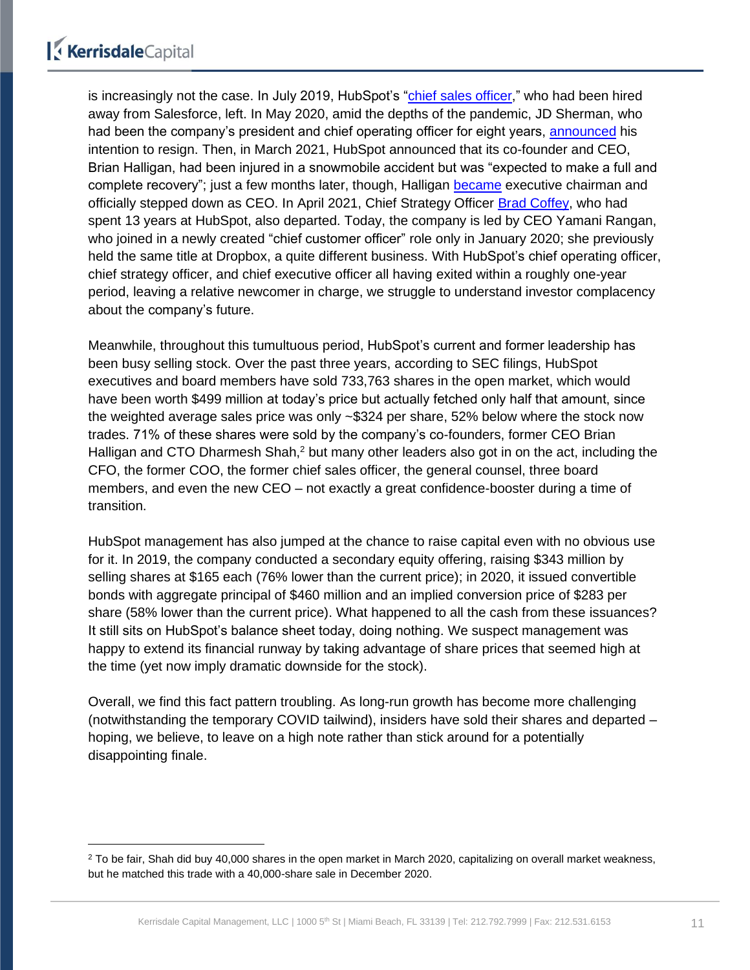is increasingly not the case. In July 2019, HubSpot's ["chief sales officer,](https://www.linkedin.com/in/huntermadeley/)" who had been hired away from Salesforce, left. In May 2020, amid the depths of the pandemic, JD Sherman, who had been the company's president and chief operating officer for eight years, [announced](https://www.sec.gov/ix?doc=/Archives/edgar/data/0001404655/000156459020021974/hubs-8k_20200501.htm) his intention to resign. Then, in March 2021, HubSpot announced that its co-founder and CEO, Brian Halligan, had been injured in a snowmobile accident but was "expected to make a full and complete recovery"; just a few months later, though, Halligan [became](https://ir.hubspot.com/news/hubspot-reports-q2-2021-results?_ga=2.159932148.89763088.1639591908-117112776.1638992540) executive chairman and officially stepped down as CEO. In April 2021, Chief Strategy Officer [Brad Coffey,](https://www.linkedin.com/in/bradfordcoffey/) who had spent 13 years at HubSpot, also departed. Today, the company is led by CEO Yamani Rangan, who joined in a newly created "chief customer officer" role only in January 2020; she previously held the same title at Dropbox, a quite different business. With HubSpot's chief operating officer, chief strategy officer, and chief executive officer all having exited within a roughly one-year period, leaving a relative newcomer in charge, we struggle to understand investor complacency about the company's future.

Meanwhile, throughout this tumultuous period, HubSpot's current and former leadership has been busy selling stock. Over the past three years, according to SEC filings, HubSpot executives and board members have sold 733,763 shares in the open market, which would have been worth \$499 million at today's price but actually fetched only half that amount, since the weighted average sales price was only ~\$324 per share, 52% below where the stock now trades. 71% of these shares were sold by the company's co-founders, former CEO Brian Halligan and CTO Dharmesh Shah,<sup>2</sup> but many other leaders also got in on the act, including the CFO, the former COO, the former chief sales officer, the general counsel, three board members, and even the new CEO – not exactly a great confidence-booster during a time of transition.

HubSpot management has also jumped at the chance to raise capital even with no obvious use for it. In 2019, the company conducted a secondary equity offering, raising \$343 million by selling shares at \$165 each (76% lower than the current price); in 2020, it issued convertible bonds with aggregate principal of \$460 million and an implied conversion price of \$283 per share (58% lower than the current price). What happened to all the cash from these issuances? It still sits on HubSpot's balance sheet today, doing nothing. We suspect management was happy to extend its financial runway by taking advantage of share prices that seemed high at the time (yet now imply dramatic downside for the stock).

Overall, we find this fact pattern troubling. As long-run growth has become more challenging (notwithstanding the temporary COVID tailwind), insiders have sold their shares and departed – hoping, we believe, to leave on a high note rather than stick around for a potentially disappointing finale.

<sup>&</sup>lt;sup>2</sup> To be fair, Shah did buy 40,000 shares in the open market in March 2020, capitalizing on overall market weakness, but he matched this trade with a 40,000-share sale in December 2020.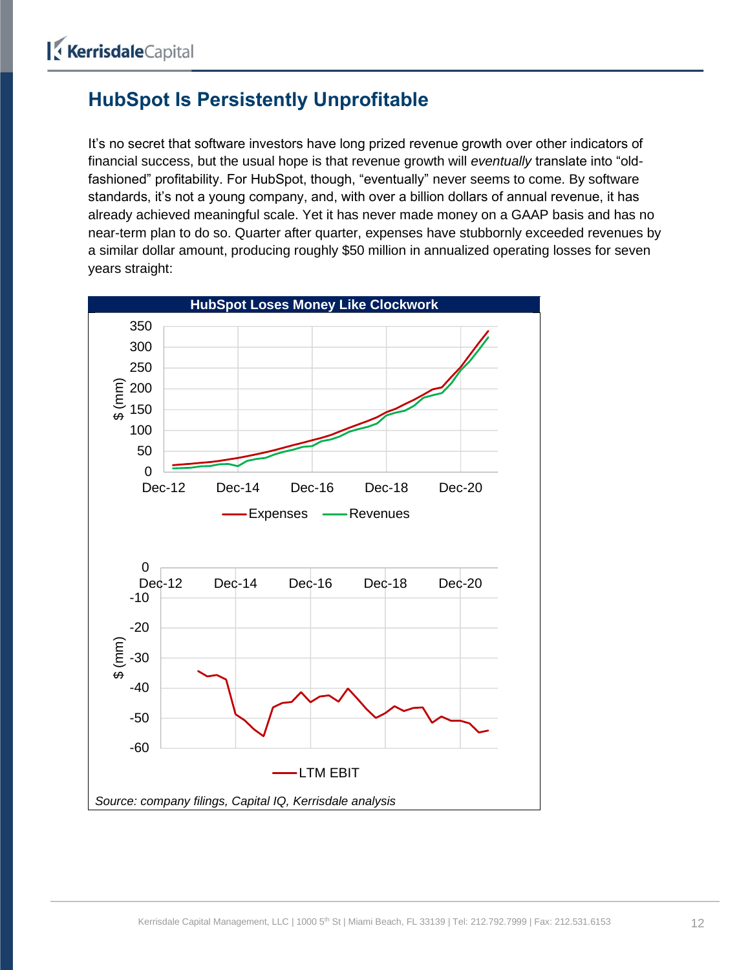## <span id="page-11-0"></span>**HubSpot Is Persistently Unprofitable**

It's no secret that software investors have long prized revenue growth over other indicators of financial success, but the usual hope is that revenue growth will *eventually* translate into "oldfashioned" profitability. For HubSpot, though, "eventually" never seems to come. By software standards, it's not a young company, and, with over a billion dollars of annual revenue, it has already achieved meaningful scale. Yet it has never made money on a GAAP basis and has no near-term plan to do so. Quarter after quarter, expenses have stubbornly exceeded revenues by a similar dollar amount, producing roughly \$50 million in annualized operating losses for seven years straight:

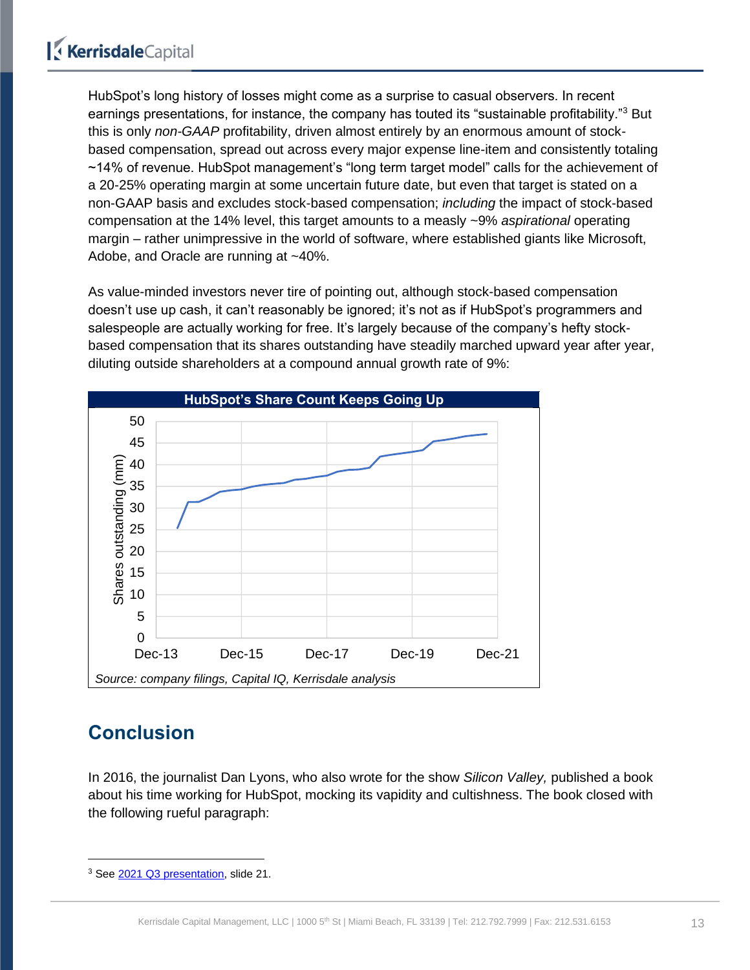HubSpot's long history of losses might come as a surprise to casual observers. In recent earnings presentations, for instance, the company has touted its "sustainable profitability."<sup>3</sup> But this is only *non-GAAP* profitability, driven almost entirely by an enormous amount of stockbased compensation, spread out across every major expense line-item and consistently totaling ~14% of revenue. HubSpot management's "long term target model" calls for the achievement of a 20-25% operating margin at some uncertain future date, but even that target is stated on a non-GAAP basis and excludes stock-based compensation; *including* the impact of stock-based compensation at the 14% level, this target amounts to a measly ~9% *aspirational* operating margin – rather unimpressive in the world of software, where established giants like Microsoft, Adobe, and Oracle are running at ~40%.

As value-minded investors never tire of pointing out, although stock-based compensation doesn't use up cash, it can't reasonably be ignored; it's not as if HubSpot's programmers and salespeople are actually working for free. It's largely because of the company's hefty stockbased compensation that its shares outstanding have steadily marched upward year after year, diluting outside shareholders at a compound annual growth rate of 9%:



## <span id="page-12-0"></span>**Conclusion**

In 2016, the journalist Dan Lyons, who also wrote for the show *Silicon Valley,* published a book about his time working for HubSpot, mocking its vapidity and cultishness. The book closed with the following rueful paragraph:

<sup>3</sup> See [2021 Q3 presentation,](https://www.hubspot.com/hubfs/Investor%20Presentation%20Q321%20(1).pdf) slide 21.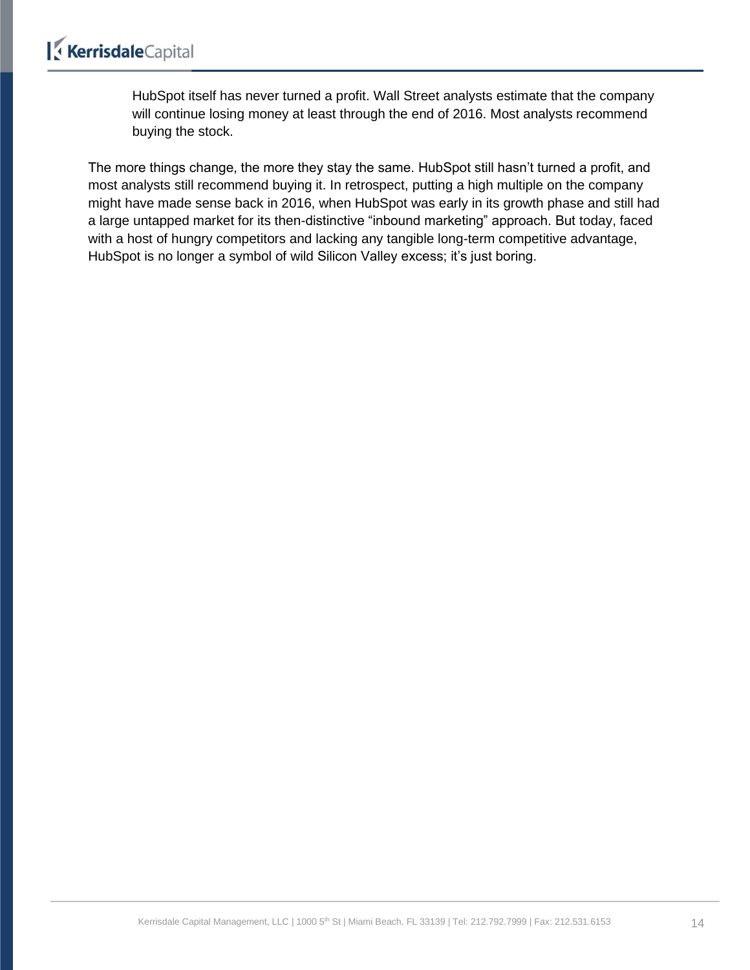HubSpot itself has never turned a profit. Wall Street analysts estimate that the company will continue losing money at least through the end of 2016. Most analysts recommend buying the stock.

The more things change, the more they stay the same. HubSpot still hasn't turned a profit, and most analysts still recommend buying it. In retrospect, putting a high multiple on the company might have made sense back in 2016, when HubSpot was early in its growth phase and still had a large untapped market for its then-distinctive "inbound marketing" approach. But today, faced with a host of hungry competitors and lacking any tangible long-term competitive advantage, HubSpot is no longer a symbol of wild Silicon Valley excess; it's just boring.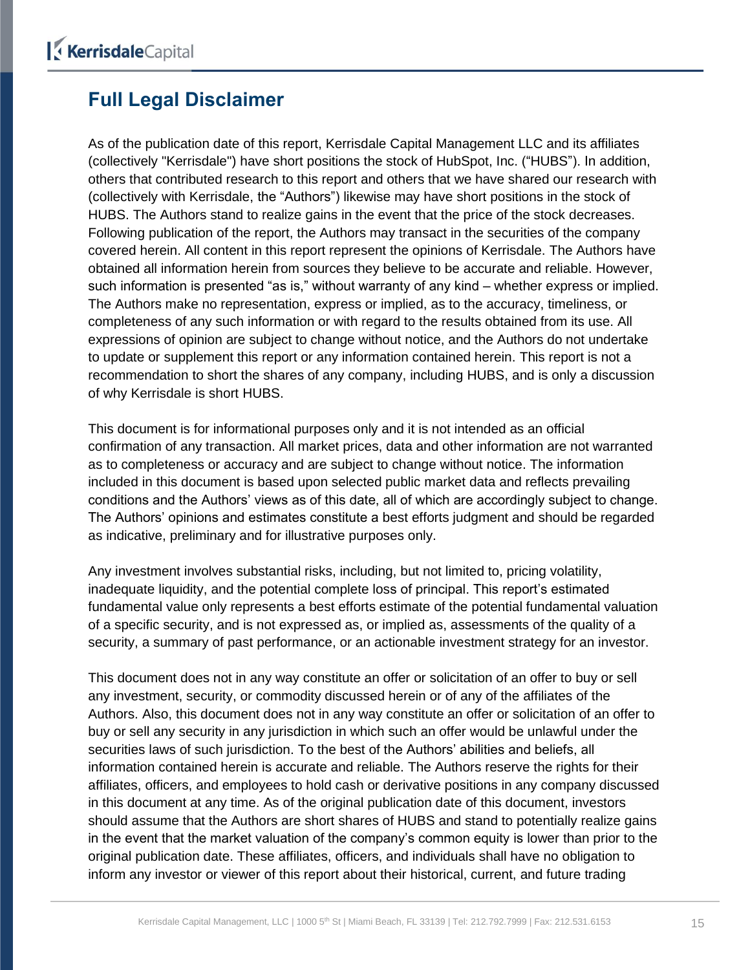## <span id="page-14-0"></span>**Full Legal Disclaimer**

As of the publication date of this report, Kerrisdale Capital Management LLC and its affiliates (collectively "Kerrisdale") have short positions the stock of HubSpot, Inc. ("HUBS"). In addition, others that contributed research to this report and others that we have shared our research with (collectively with Kerrisdale, the "Authors") likewise may have short positions in the stock of HUBS. The Authors stand to realize gains in the event that the price of the stock decreases. Following publication of the report, the Authors may transact in the securities of the company covered herein. All content in this report represent the opinions of Kerrisdale. The Authors have obtained all information herein from sources they believe to be accurate and reliable. However, such information is presented "as is," without warranty of any kind – whether express or implied. The Authors make no representation, express or implied, as to the accuracy, timeliness, or completeness of any such information or with regard to the results obtained from its use. All expressions of opinion are subject to change without notice, and the Authors do not undertake to update or supplement this report or any information contained herein. This report is not a recommendation to short the shares of any company, including HUBS, and is only a discussion of why Kerrisdale is short HUBS.

This document is for informational purposes only and it is not intended as an official confirmation of any transaction. All market prices, data and other information are not warranted as to completeness or accuracy and are subject to change without notice. The information included in this document is based upon selected public market data and reflects prevailing conditions and the Authors' views as of this date, all of which are accordingly subject to change. The Authors' opinions and estimates constitute a best efforts judgment and should be regarded as indicative, preliminary and for illustrative purposes only.

Any investment involves substantial risks, including, but not limited to, pricing volatility, inadequate liquidity, and the potential complete loss of principal. This report's estimated fundamental value only represents a best efforts estimate of the potential fundamental valuation of a specific security, and is not expressed as, or implied as, assessments of the quality of a security, a summary of past performance, or an actionable investment strategy for an investor.

This document does not in any way constitute an offer or solicitation of an offer to buy or sell any investment, security, or commodity discussed herein or of any of the affiliates of the Authors. Also, this document does not in any way constitute an offer or solicitation of an offer to buy or sell any security in any jurisdiction in which such an offer would be unlawful under the securities laws of such jurisdiction. To the best of the Authors' abilities and beliefs, all information contained herein is accurate and reliable. The Authors reserve the rights for their affiliates, officers, and employees to hold cash or derivative positions in any company discussed in this document at any time. As of the original publication date of this document, investors should assume that the Authors are short shares of HUBS and stand to potentially realize gains in the event that the market valuation of the company's common equity is lower than prior to the original publication date. These affiliates, officers, and individuals shall have no obligation to inform any investor or viewer of this report about their historical, current, and future trading